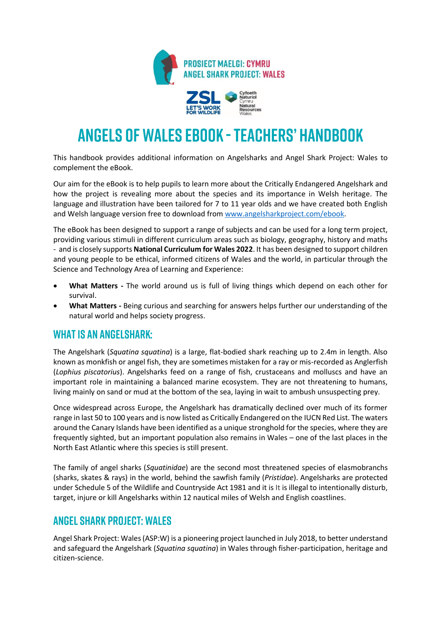

# **ANGELS OF WALES EBOOK - TEACHERS' HANDBOOK**

This handbook provides additional information on Angelsharks and Angel Shark Project: Wales to complement the eBook.

Our aim for the eBook is to help pupils to learn more about the Critically Endangered Angelshark and how the project is revealing more about the species and its importance in Welsh heritage. The language and illustration have been tailored for 7 to 11 year olds and we have created both English and Welsh language version free to download fro[m www.angelsharkproject.com/ebook.](http://www.angelsharkproject.com/ebook)

The eBook has been designed to support a range of subjects and can be used for a long term project, providing various stimuli in different curriculum areas such as biology, geography, history and maths - and is closely supports **National Curriculum for Wales 2022**. It has been designed to support children and young people to be ethical, informed citizens of Wales and the world, in particular through the Science and Technology Area of Learning and Experience:

- **What Matters -** The world around us is full of living things which depend on each other for survival.
- **What Matters -** Being curious and searching for answers helps further our understanding of the natural world and helps society progress.

### **WHAT IS AN ANGELSHARK:**

The Angelshark (*Squatina squatina*) is a large, flat-bodied shark reaching up to 2.4m in length. Also known as monkfish or angel fish, they are sometimes mistaken for a ray or mis-recorded as Anglerfish (*Lophius piscatorius*). Angelsharks feed on a range of fish, crustaceans and molluscs and have an important role in maintaining a balanced marine ecosystem. They are not threatening to humans, living mainly on sand or mud at the bottom of the sea, laying in wait to ambush unsuspecting prey.

Once widespread across Europe, the Angelshark has dramatically declined over much of its former range in last 50 to 100 years and is now listed as Critically Endangered on th[e IUCN Red List.](http://www.iucnredlist.org/) The waters around the Canary Islands have been identified as a unique stronghold for the species, where they are frequently sighted, but an important population also remains in Wales – one of the last places in the North East Atlantic where this species is still present.

The family of angel sharks (*Squatinidae*) are the second most threatened species of elasmobranchs (sharks, skates & rays) in the world, behind the sawfish family (*Pristidae*). Angelsharks are protected under Schedule 5 of the Wildlife and Countryside Act 1981 and it is It is illegal to intentionally disturb, target, injure or kill Angelsharks within 12 nautical miles of Welsh and English coastlines.

### **ANGEL SHARK PROJECT: WALES**

Angel Shark Project: Wales (ASP:W) is a pioneering project launched in July 2018, to better understand and safeguard the Angelshark (*Squatina squatina*) in Wales through fisher-participation, heritage and citizen-science.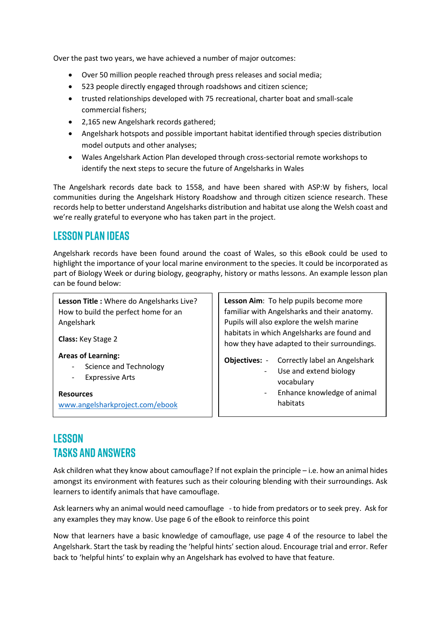Over the past two years, we have achieved a number of major outcomes:

- Over 50 million people reached through press releases and social media;
- 523 people directly engaged through roadshows and citizen science;
- trusted relationships developed with 75 recreational, charter boat and small-scale commercial fishers;
- 2,165 new Angelshark records gathered;
- Angelshark hotspots and possible important habitat identified through species distribution model outputs and other analyses;
- Wales Angelshark Action Plan developed through cross-sectorial remote workshops to identify the next steps to secure the future of Angelsharks in Wales

The Angelshark records date back to 1558, and have been shared with ASP:W by fishers, local communities during the Angelshark History Roadshow and through citizen science research. These records help to better understand Angelsharks distribution and habitat use along the Welsh coast and we're really grateful to everyone who has taken part in the project.

### **LESSON PLAN IDEAS**

Angelshark records have been found around the coast of Wales, so this eBook could be used to highlight the importance of your local marine environment to the species. It could be incorporated as part of Biology Week or during biology, geography, history or maths lessons. An example lesson plan can be found below:

**Lesson Title :** Where do Angelsharks Live? How to build the perfect home for an Angelshark

**Class:** Key Stage 2

**Areas of Learning:**

- Science and Technology
- Expressive Arts

**Resources** [www.angelsharkproject.com/ebook](http://www.angelsharkproject.com/ebook)

**Lesson Aim**: To help pupils become more familiar with Angelsharks and their anatomy. Pupils will also explore the welsh marine habitats in which Angelsharks are found and how they have adapted to their surroundings.

**Objectives:** - Correctly label an Angelshark

- Use and extend biology vocabulary
- Enhance knowledge of animal habitats

# **LESSON TASKS AND ANSWERS**

Ask children what they know about camouflage? If not explain the principle – i.e. how an animal hides amongst its environment with features such as their colouring blending with their surroundings. Ask learners to identify animals that have camouflage.

Ask learners why an animal would need camouflage - to hide from predators or to seek prey. Ask for any examples they may know. Use page 6 of the eBook to reinforce this point

Now that learners have a basic knowledge of camouflage, use page 4 of the resource to label the Angelshark. Start the task by reading the 'helpful hints' section aloud. Encourage trial and error. Refer back to 'helpful hints' to explain why an Angelshark has evolved to have that feature.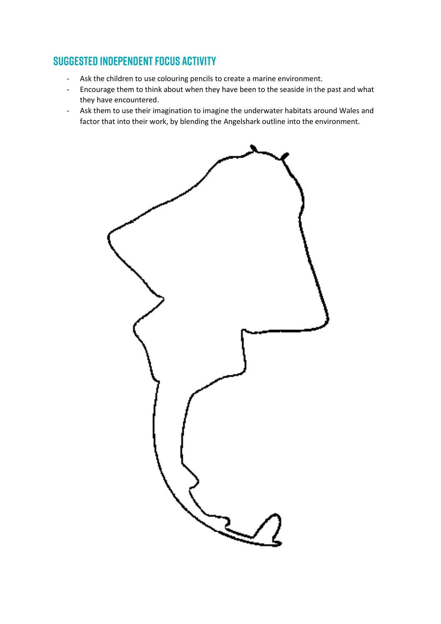## **SUGGESTED INDEPENDENT FOCUS ACTIVITY**

- Ask the children to use colouring pencils to create a marine environment.
- Encourage them to think about when they have been to the seaside in the past and what they have encountered.
- Ask them to use their imagination to imagine the underwater habitats around Wales and factor that into their work, by blending the Angelshark outline into the environment.